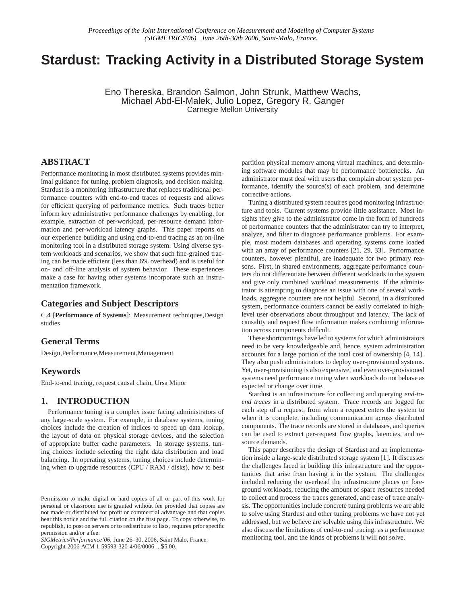# **Stardust: Tracking Activity in a Distributed Storage System**

Eno Thereska, Brandon Salmon, John Strunk, Matthew Wachs, Michael Abd-El-Malek, Julio Lopez, Gregory R. Ganger Carnegie Mellon University

## **ABSTRACT**

Performance monitoring in most distributed systems provides minimal guidance for tuning, problem diagnosis, and decision making. Stardust is a monitoring infrastructure that replaces traditional performance counters with end-to-end traces of requests and allows for efficient querying of performance metrics. Such traces better inform key administrative performance challenges by enabling, for example, extraction of per-workload, per-resource demand information and per-workload latency graphs. This paper reports on our experience building and using end-to-end tracing as an on-line monitoring tool in a distributed storage system. Using diverse system workloads and scenarios, we show that such fine-grained tracing can be made efficient (less than 6% overhead) and is useful for on- and off-line analysis of system behavior. These experiences make a case for having other systems incorporate such an instrumentation framework.

#### **Categories and Subject Descriptors**

C.4 [**Performance of Systems**]: Measurement techniques,Design studies

#### **General Terms**

Design,Performance,Measurement,Management

### **Keywords**

End-to-end tracing, request causal chain, Ursa Minor

#### **1. INTRODUCTION**

Performance tuning is a complex issue facing administrators of any large-scale system. For example, in database systems, tuning choices include the creation of indices to speed up data lookup, the layout of data on physical storage devices, and the selection of appropriate buffer cache parameters. In storage systems, tuning choices include selecting the right data distribution and load balancing. In operating systems, tuning choices include determining when to upgrade resources (CPU / RAM / disks), how to best

*SIGMetrics/Performance'06,* June 26–30, 2006, Saint Malo, France. Copyright 2006 ACM 1-59593-320-4/06/0006 ...\$5.00.

partition physical memory among virtual machines, and determining software modules that may be performance bottlenecks. An administrator must deal with users that complain about system performance, identify the source(s) of each problem, and determine corrective actions.

Tuning a distributed system requires good monitoring infrastructure and tools. Current systems provide little assistance. Most insights they give to the administrator come in the form of hundreds of performance counters that the administrator can try to interpret, analyze, and filter to diagnose performance problems. For example, most modern databases and operating systems come loaded with an array of performance counters [21, 29, 33]. Performance counters, however plentiful, are inadequate for two primary reasons. First, in shared environments, aggregate performance counters do not differentiate between different workloads in the system and give only combined workload measurements. If the administrator is attempting to diagnose an issue with one of several workloads, aggregate counters are not helpful. Second, in a distributed system, performance counters cannot be easily correlated to highlevel user observations about throughput and latency. The lack of causality and request flow information makes combining information across components difficult.

These shortcomings have led to systems for which administrators need to be very knowledgeable and, hence, system administration accounts for a large portion of the total cost of ownership [4, 14]. They also push administrators to deploy over-provisioned systems. Yet, over-provisioning is also expensive, and even over-provisioned systems need performance tuning when workloads do not behave as expected or change over time.

Stardust is an infrastructure for collecting and querying *end-toend traces* in a distributed system. Trace records are logged for each step of a request, from when a request enters the system to when it is complete, including communication across distributed components. The trace records are stored in databases, and queries can be used to extract per-request flow graphs, latencies, and resource demands.

This paper describes the design of Stardust and an implementation inside a large-scale distributed storage system [1]. It discusses the challenges faced in building this infrastructure and the opportunities that arise from having it in the system. The challenges included reducing the overhead the infrastructure places on foreground workloads, reducing the amount of spare resources needed to collect and process the traces generated, and ease of trace analysis. The opportunities include concrete tuning problems we are able to solve using Stardust and other tuning problems we have not yet addressed, but we believe are solvable using this infrastructure. We also discuss the limitations of end-to-end tracing, as a performance monitoring tool, and the kinds of problems it will not solve.

Permission to make digital or hard copies of all or part of this work for personal or classroom use is granted without fee provided that copies are not made or distributed for profit or commercial advantage and that copies bear this notice and the full citation on the first page. To copy otherwise, to republish, to post on servers or to redistribute to lists, requires prior specific permission and/or a fee.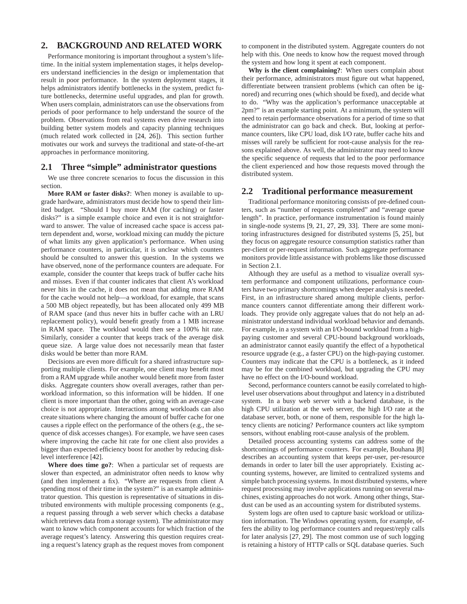# **2. BACKGROUND AND RELATED WORK**

Performance monitoring is important throughout a system's lifetime. In the initial system implementation stages, it helps developers understand inefficiencies in the design or implementation that result in poor performance. In the system deployment stages, it helps administrators identify bottlenecks in the system, predict future bottlenecks, determine useful upgrades, and plan for growth. When users complain, administrators can use the observations from periods of poor performance to help understand the source of the problem. Observations from real systems even drive research into building better system models and capacity planning techniques (much related work collected in [24, 26]). This section further motivates our work and surveys the traditional and state-of-the-art approaches in performance monitoring.

# **2.1 Three "simple" administrator questions**

We use three concrete scenarios to focus the discussion in this section.

**More RAM or faster disks?**: When money is available to upgrade hardware, administrators must decide how to spend their limited budget. "Should I buy more RAM (for caching) or faster disks?" is a simple example choice and even it is not straightforward to answer. The value of increased cache space is access pattern dependent and, worse, workload mixing can muddy the picture of what limits any given application's performance. When using performance counters, in particular, it is unclear which counters should be consulted to answer this question. In the systems we have observed, none of the performance counters are adequate. For example, consider the counter that keeps track of buffer cache hits and misses. Even if that counter indicates that client A's workload never hits in the cache, it does not mean that adding more RAM for the cache would not help—a workload, for example, that scans a 500 MB object repeatedly, but has been allocated only 499 MB of RAM space (and thus never hits in buffer cache with an LRU replacement policy), would benefit greatly from a 1 MB increase in RAM space. The workload would then see a 100% hit rate. Similarly, consider a counter that keeps track of the average disk queue size. A large value does not necessarily mean that faster disks would be better than more RAM.

Decisions are even more difficult for a shared infrastructure supporting multiple clients. For example, one client may benefit most from a RAM upgrade while another would benefit more from faster disks. Aggregate counters show overall averages, rather than perworkload information, so this information will be hidden. If one client is more important than the other, going with an average-case choice is not appropriate. Interactions among workloads can also create situations where changing the amount of buffer cache for one causes a ripple effect on the performance of the others (e.g., the sequence of disk accesses changes). For example, we have seen cases where improving the cache hit rate for one client also provides a bigger than expected efficiency boost for another by reducing disklevel interference [42].

**Where does time go?**: When a particular set of requests are slower than expected, an administrator often needs to know why (and then implement a fix). "Where are requests from client A spending most of their time in the system?" is an example administrator question. This question is representative of situations in distributed environments with multiple processing components (e.g., a request passing through a web server which checks a database which retrieves data from a storage system). The administrator may want to know which component accounts for which fraction of the average request's latency. Answering this question requires creating a request's latency graph as the request moves from component to component in the distributed system. Aggregate counters do not help with this. One needs to know how the request moved through the system and how long it spent at each component.

**Why is the client complaining?**: When users complain about their performance, administrators must figure out what happened, differentiate between transient problems (which can often be ignored) and recurring ones (which should be fixed), and decide what to do. "Why was the application's performance unacceptable at 2pm?" is an example starting point. At a minimum, the system will need to retain performance observations for a period of time so that the administrator can go back and check. But, looking at performance counters, like CPU load, disk I/O rate, buffer cache hits and misses will rarely be sufficient for root-cause analysis for the reasons explained above. As well, the administrator may need to know the specific sequence of requests that led to the poor performance the client experienced and how those requests moved through the distributed system.

#### **2.2 Traditional performance measurement**

Traditional performance monitoring consists of pre-defined counters, such as "number of requests completed" and "average queue length". In practice, performance instrumentation is found mainly in single-node systems [9, 21, 27, 29, 33]. There are some monitoring infrastructures designed for distributed systems [5, 25], but they focus on aggregate resource consumption statistics rather than per-client or per-request information. Such aggregate performance monitors provide little assistance with problems like those discussed in Section 2.1.

Although they are useful as a method to visualize overall system performance and component utilizations, performance counters have two primary shortcomings when deeper analysis is needed. First, in an infrastructure shared among multiple clients, performance counters cannot differentiate among their different workloads. They provide only aggregate values that do not help an administrator understand individual workload behavior and demands. For example, in a system with an I/O-bound workload from a highpaying customer and several CPU-bound background workloads, an administrator cannot easily quantify the effect of a hypothetical resource upgrade (e.g., a faster CPU) on the high-paying customer. Counters may indicate that the CPU is a bottleneck, as it indeed may be for the combined workload, but upgrading the CPU may have no effect on the I/O-bound workload.

Second, performance counters cannot be easily correlated to highlevel user observations about throughput and latency in a distributed system. In a busy web server with a backend database, is the high CPU utilization at the web server, the high I/O rate at the database server, both, or none of them, responsible for the high latency clients are noticing? Performance counters act like symptom sensors, without enabling root-cause analysis of the problem.

Detailed process accounting systems can address some of the shortcomings of performance counters. For example, Bouhana [8] describes an accounting system that keeps per-user, per-resource demands in order to later bill the user appropriately. Existing accounting systems, however, are limited to centralized systems and simple batch processing systems. In most distributed systems, where request processing may involve applications running on several machines, existing approaches do not work. Among other things, Stardust can be used as an accounting system for distributed systems.

System logs are often used to capture basic workload or utilization information. The Windows operating system, for example, offers the ability to log performance counters and request/reply calls for later analysis [27, 29]. The most common use of such logging is retaining a history of HTTP calls or SQL database queries. Such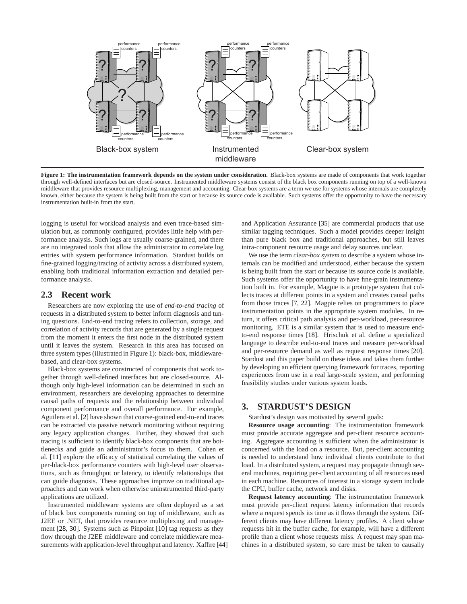

**Figure 1: The instrumentation framework depends on the system under consideration.** Black-box systems are made of components that work together through well-defined interfaces but are closed-source. Instrumented middleware systems consist of the black box components running on top of a well-known middleware that provides resource multiplexing, management and accounting. Clear-box systems are a term we use for systems whose internals are completely known, either because the system is being built from the start or because its source code is available. Such systems offer the opportunity to have the necessary instrumentation built-in from the start.

logging is useful for workload analysis and even trace-based simulation but, as commonly configured, provides little help with performance analysis. Such logs are usually coarse-grained, and there are no integrated tools that allow the administrator to correlate log entries with system performance information. Stardust builds on fine-grained logging/tracing of activity across a distributed system, enabling both traditional information extraction and detailed performance analysis.

### **2.3 Recent work**

Researchers are now exploring the use of *end-to-end tracing* of requests in a distributed system to better inform diagnosis and tuning questions. End-to-end tracing refers to collection, storage, and correlation of activity records that are generated by a single request from the moment it enters the first node in the distributed system until it leaves the system. Research in this area has focused on three system types (illustrated in Figure 1): black-box, middlewarebased, and clear-box systems.

Black-box systems are constructed of components that work together through well-defined interfaces but are closed-source. Although only high-level information can be determined in such an environment, researchers are developing approaches to determine causal paths of requests and the relationship between individual component performance and overall performance. For example, Aguilera et al. [2] have shown that coarse-grained end-to-end traces can be extracted via passive network monitoring without requiring any legacy application changes. Further, they showed that such tracing is sufficient to identify black-box components that are bottlenecks and guide an administrator's focus to them. Cohen et al. [11] explore the efficacy of statistical correlating the values of per-black-box performance counters with high-level user observations, such as throughput or latency, to identify relationships that can guide diagnosis. These approaches improve on traditional approaches and can work when otherwise uninstrumented third-party applications are utilized.

Instrumented middleware systems are often deployed as a set of black box components running on top of middleware, such as J2EE or .NET, that provides resource multiplexing and management [28, 30]. Systems such as Pinpoint [10] tag requests as they flow through the J2EE middleware and correlate middleware measurements with application-level throughput and latency. Xaffire [44] and Application Assurance [35] are commercial products that use similar tagging techniques. Such a model provides deeper insight than pure black box and traditional approaches, but still leaves intra-component resource usage and delay sources unclear.

We use the term *clear-box system* to describe a system whose internals can be modified and understood, either because the system is being built from the start or because its source code is available. Such systems offer the opportunity to have fine-grain instrumentation built in. For example, Magpie is a prototype system that collects traces at different points in a system and creates causal paths from those traces [7, 22]. Magpie relies on programmers to place instrumentation points in the appropriate system modules. In return, it offers critical path analysis and per-workload, per-resource monitoring. ETE is a similar system that is used to measure endto-end response times [18]. Hrischuk et al. define a specialized language to describe end-to-end traces and measure per-workload and per-resource demand as well as request response times [20]. Stardust and this paper build on these ideas and takes them further by developing an efficient querying framework for traces, reporting experiences from use in a real large-scale system, and performing feasibility studies under various system loads.

#### **3. STARDUST'S DESIGN**

Stardust's design was motivated by several goals:

**Resource usage accounting**: The instrumentation framework must provide accurate aggregate and per-client resource accounting. Aggregate accounting is sufficient when the administrator is concerned with the load on a resource. But, per-client accounting is needed to understand how individual clients contribute to that load. In a distributed system, a request may propagate through several machines, requiring per-client accounting of all resources used in each machine. Resources of interest in a storage system include the CPU, buffer cache, network and disks.

**Request latency accounting**: The instrumentation framework must provide per-client request latency information that records where a request spends its time as it flows through the system. Different clients may have different latency profiles. A client whose requests hit in the buffer cache, for example, will have a different profile than a client whose requests miss. A request may span machines in a distributed system, so care must be taken to causally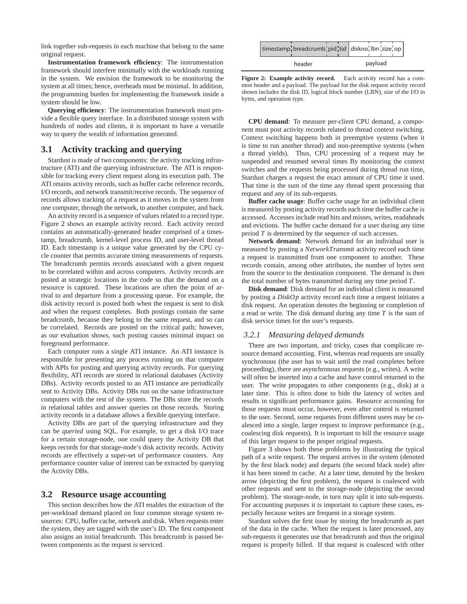link together sub-requests in each machine that belong to the same original request.

**Instrumentation framework efficiency**: The instrumentation framework should interfere minimally with the workloads running in the system. We envision the framework to be monitoring the system at all times; hence, overheads must be minimal. In addition, the programming burden for implementing the framework inside a system should be low.

**Querying efficiency**: The instrumentation framework must provide a flexible query interface. In a distributed storage system with hundreds of nodes and clients, it is important to have a versatile way to query the wealth of information generated.

#### **3.1 Activity tracking and querying**

Stardust is made of two components: the activity tracking infrastructure (ATI) and the querying infrastructure. The ATI is responsible for tracking every client request along its execution path. The ATI retains activity records, such as buffer cache reference records, I/O records, and network transmit/receive records. The sequence of records allows tracking of a request as it moves in the system from one computer, through the network, to another computer, and back.

An activity record is a sequence of values related to a record type. Figure 2 shows an example activity record. Each activity record contains an automatically-generated header comprised of a timestamp, breadcrumb, kernel-level process ID, and user-level thread ID. Each timestamp is a unique value generated by the CPU cycle counter that permits accurate timing measurements of requests. The breadcrumb permits records associated with a given request to be correlated within and across computers. Activity records are posted at strategic locations in the code so that the demand on a resource is captured. These locations are often the point of arrival to and departure from a processing queue. For example, the disk activity record is posted both when the request is sent to disk and when the request completes. Both postings contain the same breadcrumb, because they belong to the same request, and so can be correlated. Records are posted on the critical path; however, as our evaluation shows, such posting causes minimal impact on foreground performance.

Each computer runs a single ATI instance. An ATI instance is responsible for presenting any process running on that computer with APIs for posting and querying activity records. For querying flexibility, ATI records are stored in relational databases (Activity DBs). Activity records posted to an ATI instance are periodically sent to Activity DBs. Activity DBs run on the same infrastructure computers with the rest of the system. The DBs store the records in relational tables and answer queries on those records. Storing activity records in a database allows a flexible querying interface.

Activity DBs are part of the querying infrastructure and they can be *queried* using SQL. For example, to get a disk I/O trace for a certain storage-node, one could query the Activity DB that keeps records for that storage-node's disk activity records. Activity records are effectively a super-set of performance counters. Any performance counter value of interest can be extracted by querying the Activity DBs.

#### **3.2 Resource usage accounting**

This section describes how the ATI enables the extraction of the per-workload demand placed on four common storage system resources: CPU, buffer cache, network and disk. When requests enter the system, they are tagged with the user's ID. The first component also assigns an initial breadcrumb. This breadcrumb is passed between components as the request is serviced.

| timestamp <sup>1</sup> breadcrumb <sup>1</sup> pid <sup>1</sup> tid diskno <sup>1</sup> lbn <sup>1</sup> size <sup>1</sup> op |         |
|-------------------------------------------------------------------------------------------------------------------------------|---------|
| header                                                                                                                        | payload |

Figure 2: Example activity record. Each activity record has a common header and a payload. The payload for the disk request activity record shown includes the disk ID, logical block number (LBN), size of the I/O in bytes, and operation type.

**CPU demand**: To measure per-client CPU demand, a component must post activity records related to thread context switching. Context switching happens both in preemptive systems (when it is time to run another thread) and non-preemptive systems (when a thread yields). Thus, CPU processing of a request may be suspended and resumed several times By monitoring the context switches and the requests being processed during thread run time, Stardust charges a request the exact amount of CPU time it used. That time is the sum of the time any thread spent processing that request and any of its sub-requests.

**Buffer cache usage**: Buffer cache usage for an individual client is measured by posting activity records each time the buffer cache is accessed. Accesses include read hits and misses, writes, readaheads and evictions. The buffer cache demand for a user during any time period *T* is determined by the sequence of such accesses.

**Network demand**: Network demand for an individual user is measured by posting a *NetworkTransmit* activity record each time a request is transmitted from one component to another. These records contain, among other attributes, the number of bytes sent from the source to the destination component. The demand is then the total number of bytes transmitted during any time period *T*.

**Disk demand**: Disk demand for an individual client is measured by posting a *DiskOp* activity record each time a request initiates a disk request. An operation denotes the beginning or completion of a read or write. The disk demand during any time *T* is the sum of disk service times for the user's requests.

#### *3.2.1 Measuring delayed demands*

There are two important, and tricky, cases that complicate resource demand accounting. First, whereas read requests are usually synchronous (the user has to wait until the read completes before proceeding), there are asynchronous requests (e.g., writes). A write will often be inserted into a cache and have control returned to the user. The write propagates to other components (e.g., disk) at a later time. This is often done to hide the latency of writes and results in significant performance gains. Resource accounting for those requests must occur, however, even after control is returned to the user. Second, some requests from different users may be coalesced into a single, larger request to improve performance (e.g., coalescing disk requests). It is important to bill the resource usage of this larger request to the proper original requests.

Figure 3 shows both these problems by illustrating the typical path of a write request. The request arrives in the system (denoted by the first black node) and departs (the second black node) after it has been stored in cache. At a later time, denoted by the broken arrow (depicting the first problem), the request is coalesced with other requests and sent to the storage-node (depicting the second problem). The storage-node, in turn may split it into sub-requests. For accounting purposes it is important to capture these cases, especially because writes are frequent in a storage system.

Stardust solves the first issue by storing the breadcrumb as part of the data in the cache. When the request is later processed, any sub-requests it generates use that breadcrumb and thus the original request is properly billed. If that request is coalesced with other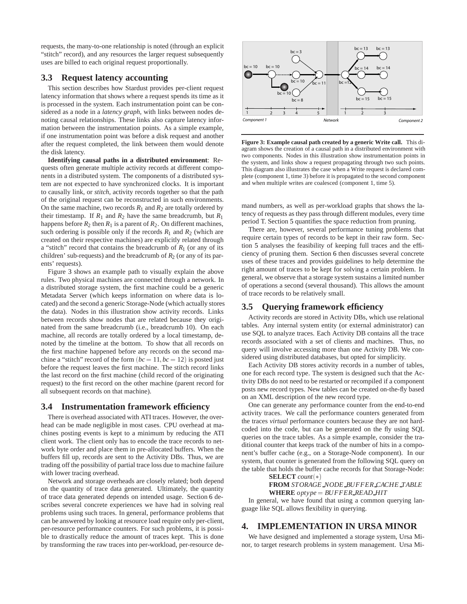requests, the many-to-one relationship is noted (through an explicit "stitch" record), and any resources the larger request subsequently uses are billed to each original request proportionally.

#### **3.3 Request latency accounting**

This section describes how Stardust provides per-client request latency information that shows where a request spends its time as it is processed in the system. Each instrumentation point can be considered as a node in a *latency graph*, with links between nodes denoting causal relationships. These links also capture latency information between the instrumentation points. As a simple example, if one instrumentation point was before a disk request and another after the request completed, the link between them would denote the disk latency.

**Identifying causal paths in a distributed environment**: Requests often generate multiple activity records at different components in a distributed system. The components of a distributed system are not expected to have synchronized clocks. It is important to causally link, or *stitch*, activity records together so that the path of the original request can be reconstructed in such environments. On the same machine, two records  $R_1$  and  $R_2$  are totally ordered by their timestamp. If  $R_1$  and  $R_2$  have the same breadcrumb, but  $R_1$ happens before  $R_2$  then  $R_1$  is a parent of  $R_2$ . On different machines, such ordering is possible only if the records  $R_1$  and  $R_2$  (which are created on their respective machines) are explicitly related through a "stitch" record that contains the breadcrumb of  $R_1$  (or any of its children' sub-requests) and the breadcrumb of  $R_2$  (or any of its parents' requests).

Figure 3 shows an example path to visually explain the above rules. Two physical machines are connected through a network. In a distributed storage system, the first machine could be a generic Metadata Server (which keeps information on where data is located) and the second a generic Storage-Node (which actually stores the data). Nodes in this illustration show activity records. Links between records show nodes that are related because they originated from the same breadcrumb (i.e., breadcrumb 10). On each machine, all records are totally ordered by a local timestamp, denoted by the timeline at the bottom. To show that all records on the first machine happened before any records on the second machine a "stitch" record of the form  $(bc = 11, bc = 12)$  is posted just before the request leaves the first machine. The stitch record links the last record on the first machine (child record of the originating request) to the first record on the other machine (parent record for all subsequent records on that machine).

#### **3.4 Instrumentation framework efficiency**

There is overhead associated with ATI traces. However, the overhead can be made negligible in most cases. CPU overhead at machines posting events is kept to a minimum by reducing the ATI client work. The client only has to encode the trace records to network byte order and place them in pre-allocated buffers. When the buffers fill up, records are sent to the Activity DBs. Thus, we are trading off the possibility of partial trace loss due to machine failure with lower tracing overhead.

Network and storage overheads are closely related; both depend on the quantity of trace data generated. Ultimately, the quantity of trace data generated depends on intended usage. Section 6 describes several concrete experiences we have had in solving real problems using such traces. In general, performance problems that can be answered by looking at resource load require only per-client, per-resource performance counters. For such problems, it is possible to drastically reduce the amount of traces kept. This is done by transforming the raw traces into per-workload, per-resource de-



**Figure 3: Example causal path created by a generic Write call.** This diagram shows the creation of a causal path in a distributed environment with two components. Nodes in this illustration show instrumentation points in the system, and links show a request propagating through two such points. This diagram also illustrates the case when a Write request is declared complete (component 1, time 3) before it is propagated to the second component and when multiple writes are coalesced (component 1, time 5).

mand numbers, as well as per-workload graphs that shows the latency of requests as they pass through different modules, every time period T. Section 5 quantifies the space reduction from pruning.

There are, however, several performance tuning problems that require certain types of records to be kept in their raw form. Section 5 analyses the feasibility of keeping full traces and the efficiency of pruning them. Section 6 then discusses several concrete uses of these traces and provides guidelines to help determine the right amount of traces to be kept for solving a certain problem. In general, we observe that a storage system sustains a limited number of operations a second (several thousand). This allows the amount of trace records to be relatively small.

### **3.5 Querying framework efficiency**

Activity records are stored in Activity DBs, which use relational tables. Any internal system entity (or external administrator) can use SQL to analyze traces. Each Activity DB contains all the trace records associated with a set of clients and machines. Thus, no query will involve accessing more than one Activity DB. We considered using distributed databases, but opted for simplicity.

Each Activity DB stores activity records in a number of tables, one for each record type. The system is designed such that the Activity DBs do not need to be restarted or recompiled if a component posts new record types. New tables can be created on-the-fly based on an XML description of the new record type.

One can generate any performance counter from the end-to-end activity traces. We call the performance counters generated from the traces *virtual* performance counters because they are not hardcoded into the code, but can be generated on the fly using SQL queries on the trace tables. As a simple example, consider the traditional counter that keeps track of the number of hits in a component's buffer cache (e.g., on a Storage-Node component). In our system, that counter is generated from the following SQL query on the table that holds the buffer cache records for that Storage-Node:

**SELECT** *count*(\*) **FROM** *STORAGE NODE BUFFER CACHE TABLE* **WHERE** *optype BUFFER READ HIT*

In general, we have found that using a common querying language like SQL allows flexibility in querying.

### **4. IMPLEMENTATION IN URSA MINOR**

We have designed and implemented a storage system, Ursa Minor, to target research problems in system management. Ursa Mi-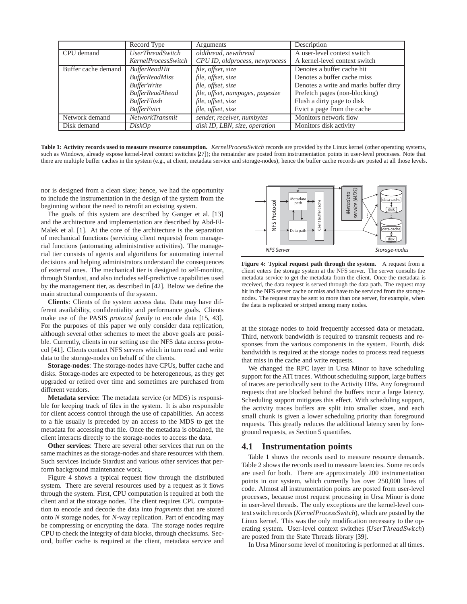|                     | Record Type                    | Arguments                        | Description                            |
|---------------------|--------------------------------|----------------------------------|----------------------------------------|
| CPU demand          | <i><b>UserThreadSwitch</b></i> | oldthread, newthread             | A user-level context switch            |
|                     | KernelProcessSwitch            | CPU ID, oldprocess, newprocess   | A kernel-level context switch          |
| Buffer cache demand | <b>BufferReadHit</b>           | file, offset, size               | Denotes a buffer cache hit             |
|                     | <b>BufferReadMiss</b>          | file, offset, size               | Denotes a buffer cache miss            |
|                     | <b>BufferWrite</b>             | file, offset, size               | Denotes a write and marks buffer dirty |
|                     | <b>BufferReadAhead</b>         | file, offset, numpages, pagesize | Prefetch pages (non-blocking)          |
|                     | <b>BufferFlush</b>             | file, offset, size               | Flush a dirty page to disk             |
|                     | BufferEvict                    | file, offset, size               | Evict a page from the cache            |
| Network demand      | <b>NetworkTransmit</b>         | sender, receiver, numbytes       | Monitors network flow                  |
| Disk demand         | DiskOp                         | disk ID, LBN, size, operation    | Monitors disk activity                 |

**Table 1: Activity records used to measure resource consumption.** *KernelProcessSwitch* records are provided by the Linux kernel (other operating systems, such as Windows, already expose kernel-level context switches [27]); the remainder are posted from instrumentation points in user-level processes. Note that there are multiple buffer caches in the system (e.g., at client, metadata service and storage-nodes), hence the buffer cache records are posted at all those levels.

nor is designed from a clean slate; hence, we had the opportunity to include the instrumentation in the design of the system from the beginning without the need to retrofit an existing system.

The goals of this system are described by Ganger et al. [13] and the architecture and implementation are described by Abd-El-Malek et al. [1]. At the core of the architecture is the separation of mechanical functions (servicing client requests) from managerial functions (automating administrative activities). The managerial tier consists of agents and algorithms for automating internal decisions and helping administrators understand the consequences of external ones. The mechanical tier is designed to self-monitor, through Stardust, and also includes self-predictive capabilities used by the management tier, as described in [42]. Below we define the main structural components of the system.

**Clients**: Clients of the system access data. Data may have different availability, confidentiality and performance goals. Clients make use of the PASIS *protocol family* to encode data [15, 43]. For the purposes of this paper we only consider data replication, although several other schemes to meet the above goals are possible. Currently, clients in our setting use the NFS data access protocol [41]. Clients contact NFS servers which in turn read and write data to the storage-nodes on behalf of the clients.

**Storage-nodes**: The storage-nodes have CPUs, buffer cache and disks. Storage-nodes are expected to be heterogeneous, as they get upgraded or retired over time and sometimes are purchased from different vendors.

**Metadata service**: The metadata service (or MDS) is responsible for keeping track of files in the system. It is also responsible for client access control through the use of capabilities. An access to a file usually is preceded by an access to the MDS to get the metadata for accessing that file. Once the metadata is obtained, the client interacts directly to the storage-nodes to access the data.

**Other services**: There are several other services that run on the same machines as the storage-nodes and share resources with them. Such services include Stardust and various other services that perform background maintenance work.

Figure 4 shows a typical request flow through the distributed system. There are several resources used by a request as it flows through the system. First, CPU computation is required at both the client and at the storage nodes. The client requires CPU computation to encode and decode the data into *fragments* that are stored onto *N* storage nodes, for *N*-way replication. Part of encoding may be compressing or encrypting the data. The storage nodes require CPU to check the integrity of data blocks, through checksums. Second, buffer cache is required at the client, metadata service and



**Figure 4: Typical request path through the system.** A request from a client enters the storage system at the NFS server. The server consults the metadata service to get the metadata from the client. Once the metadata is received, the data request is served through the data path. The request may hit in the NFS server cache or miss and have to be serviced from the storagenodes. The request may be sent to more than one server, for example, when the data is replicated or striped among many nodes.

at the storage nodes to hold frequently accessed data or metadata. Third, network bandwidth is required to transmit requests and responses from the various components in the system. Fourth, disk bandwidth is required at the storage nodes to process read requests that miss in the cache and write requests.

We changed the RPC layer in Ursa Minor to have scheduling support for the ATI traces. Without scheduling support, large buffers of traces are periodically sent to the Activity DBs. Any foreground requests that are blocked behind the buffers incur a large latency. Scheduling support mitigates this effect. With scheduling support, the activity traces buffers are split into smaller sizes, and each small chunk is given a lower scheduling priority than foreground requests. This greatly reduces the additional latency seen by foreground requests, as Section 5 quantifies.

#### **4.1 Instrumentation points**

Table 1 shows the records used to measure resource demands. Table 2 shows the records used to measure latencies. Some records are used for both. There are approximately 200 instrumentation points in our system, which currently has over 250,000 lines of code. Almost all instrumentation points are posted from user-level processes, because most request processing in Ursa Minor is done in user-level threads. The only exceptions are the kernel-level context switch records (*KernelProcessSwitch*), which are posted by the Linux kernel. This was the only modification necessary to the operating system. User-level context switches (*UserThreadSwitch*) are posted from the State Threads library [39].

In Ursa Minor some level of monitoring is performed at all times.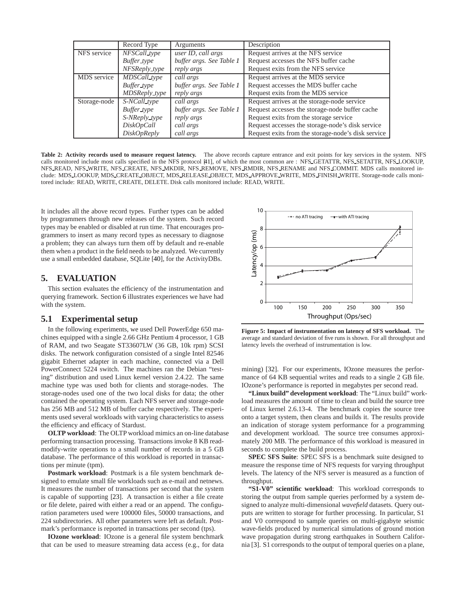|              | Record Type                | Arguments                | Description                                        |
|--------------|----------------------------|--------------------------|----------------------------------------------------|
| NFS service  | NFSCall_type               | user ID, call args       | Request arrives at the NFS service                 |
|              | Buffer_type                | buffer args. See Table 1 | Request accesses the NFS buffer cache              |
|              | $NF$ S $Reply\_type$       | reply args               | Request exits from the NFS service                 |
| MDS service  | $\overline{MD}$ SCall_type | call args                | Request arrives at the MDS service                 |
|              | Buffer_type                | buffer args. See Table 1 | Request accesses the MDS buffer cache              |
|              | MDSReply_type              | reply args               | Request exits from the MDS service                 |
| Storage-node | S-NCall_type               | call args                | Request arrives at the storage-node service        |
|              | Buffer_type                | buffer args. See Table 1 | Request accesses the storage-node buffer cache     |
|              | S-NReply_type              | reply args               | Request exits from the storage service             |
|              | DiskOpCall                 | call args                | Request accesses the storage-node's disk service   |
|              | <i>DiskOpReply</i>         | call args                | Request exits from the storage-node's disk service |

Table 2: Activity records used to measure request latency. The above records capture entrance and exit points for key services in the system. NFS calls monitored include most calls specified in the NFS protocol [41], of which the most common are : NFS GETATTR, NFS SETATTR, NFS LOOKUP, NFS READ, NFS WRITE, NFS CREATE, NFS MKDIR, NFS REMOVE, NFS RMDIR, NFS RENAME and NFS COMMIT. MDS calls monitored include: MDS LOOKUP, MDS CREATE OBJECT, MDS RELEASE OBJECT, MDS APPROVE WRITE, MDS FINISH WRITE. Storage-node calls monitored include: READ, WRITE, CREATE, DELETE. Disk calls monitored include: READ, WRITE.

It includes all the above record types. Further types can be added by programmers through new releases of the system. Such record types may be enabled or disabled at run time. That encourages programmers to insert as many record types as necessary to diagnose a problem; they can always turn them off by default and re-enable them when a product in the field needs to be analyzed. We currently use a small embedded database, SQLite [40], for the ActivityDBs.

#### **5. EVALUATION**

This section evaluates the efficiency of the instrumentation and querying framework. Section 6 illustrates experiences we have had with the system.

#### **5.1 Experimental setup**

In the following experiments, we used Dell PowerEdge 650 machines equipped with a single 2.66 GHz Pentium 4 processor, 1 GB of RAM, and two Seagate ST33607LW (36 GB, 10k rpm) SCSI disks. The network configuration consisted of a single Intel 82546 gigabit Ethernet adapter in each machine, connected via a Dell PowerConnect 5224 switch. The machines ran the Debian "testing" distribution and used Linux kernel version 2.4.22. The same machine type was used both for clients and storage-nodes. The storage-nodes used one of the two local disks for data; the other contained the operating system. Each NFS server and storage-node has 256 MB and 512 MB of buffer cache respectively. The experiments used several workloads with varying characteristics to assess the efficiency and efficacy of Stardust.

**OLTP workload**: The OLTP workload mimics an on-line database performing transaction processing. Transactions invoke 8 KB readmodify-write operations to a small number of records in a 5 GB database. The performance of this workload is reported in transactions per minute (tpm).

**Postmark workload**: Postmark is a file system benchmark designed to emulate small file workloads such as e-mail and netnews. It measures the number of transactions per second that the system is capable of supporting [23]. A transaction is either a file create or file delete, paired with either a read or an append. The configuration parameters used were 100000 files, 50000 transactions, and 224 subdirectories. All other parameters were left as default. Postmark's performance is reported in transactions per second (tps).

**IOzone workload**: IOzone is a general file system benchmark that can be used to measure streaming data access (e.g., for data



**Figure 5: Impact of instrumentation on latency of SFS workload.** The average and standard deviation of five runs is shown. For all throughput and latency levels the overhead of instrumentation is low.

mining) [32]. For our experiments, IOzone measures the performance of 64 KB sequential writes and reads to a single 2 GB file. IOzone's performance is reported in megabytes per second read.

**"Linux build" development workload**: The "Linux build" workload measures the amount of time to clean and build the source tree of Linux kernel 2.6.13-4. The benchmark copies the source tree onto a target system, then cleans and builds it. The results provide an indication of storage system performance for a programming and development workload. The source tree consumes approximately 200 MB. The performance of this workload is measured in seconds to complete the build process.

**SPEC SFS Suite**: SPEC SFS is a benchmark suite designed to measure the response time of NFS requests for varying throughput levels. The latency of the NFS server is measured as a function of throughput.

**"S1-V0" scientific workload**: This workload corresponds to storing the output from sample queries performed by a system designed to analyze multi-dimensional *wavefield* datasets. Query outputs are written to storage for further processing. In particular, S1 and V0 correspond to sample queries on multi-gigabyte seismic wave-fields produced by numerical simulations of ground motion wave propagation during strong earthquakes in Southern California [3]. S1 corresponds to the output of temporal queries on a plane,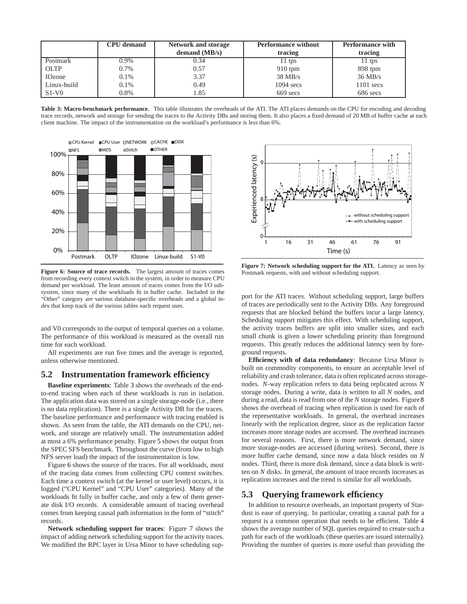|               | <b>CPU</b> demand | <b>Network and storage</b> | <b>Performance without</b> | <b>Performance with</b> |
|---------------|-------------------|----------------------------|----------------------------|-------------------------|
|               |                   | demand $(MB/s)$            | tracing                    | tracing                 |
| Postmark      | 0.9%              | 0.34                       | $11$ tps                   | 11 tps                  |
| <b>OLTP</b>   | 0.7%              | 0.57                       | $910$ tpm                  | 898 tpm                 |
| <b>IOzone</b> | $0.1\%$           | 3.37                       | $38$ MB/s                  | $36 \text{ MB/s}$       |
| Linux-build   | $0.1\%$           | 0.49                       | $1094$ secs                | $1101$ secs             |
| $S1-V0$       | 0.8%              | 1.85                       | $669$ secs                 | 686 secs                |

**Table 3: Macro-benchmark performance.** This table illustrates the overheads of the ATI. The ATI places demands on the CPU for encoding and decoding trace records, network and storage for sending the traces to the Activity DBs and storing them. It also places a fixed demand of 20 MB of buffer cache at each client machine. The impact of the instrumentation on the workload's performance is less than 6%.



**Figure 6: Source of trace records.** The largest amount of traces comes from recording every context switch in the system, in order to measure CPU demand per workload. The least amount of traces comes from the I/O subsystem, since many of the workloads fit in buffer cache. Included in the "Other" category are various database-specific overheads and a global index that keep track of the various tables each request uses.

and V0 corresponds to the output of temporal queries on a volume. The performance of this workload is measured as the overall run time for each workload.

All experiments are run five times and the average is reported, unless otherwise mentioned.

#### **5.2 Instrumentation framework efficiency**

**Baseline experiments**: Table 3 shows the overheads of the endto-end tracing when each of these workloads is run in isolation. The application data was stored on a single storage-node (i.e., there is no data replication). There is a single Activity DB for the traces. The baseline performance and performance with tracing enabled is shown. As seen from the table, the ATI demands on the CPU, network, and storage are relatively small. The instrumentation added at most a 6% performance penalty. Figure 5 shows the output from the SPEC SFS benchmark. Throughout the curve (from low to high NFS server load) the impact of the instrumentation is low.

Figure 6 shows the source of the traces. For all workloads, most of the tracing data comes from collecting CPU context switches. Each time a context switch (at the kernel or user level) occurs, it is logged ("CPU Kernel" and "CPU User" categories). Many of the workloads fit fully in buffer cache, and only a few of them generate disk I/O records. A considerable amount of tracing overhead comes from keeping causal path information in the form of "stitch" records.

**Network scheduling support for traces**: Figure 7 shows the impact of adding network scheduling support for the activity traces. We modified the RPC layer in Ursa Minor to have scheduling sup-



**Figure 7: Network scheduling support for the ATI.** Latency as seen by Postmark requests, with and without scheduling support.

port for the ATI traces. Without scheduling support, large buffers of traces are periodically sent to the Activity DBs. Any foreground requests that are blocked behind the buffers incur a large latency. Scheduling support mitigates this effect. With scheduling support, the activity traces buffers are split into smaller sizes, and each small chunk is given a lower scheduling priority than foreground requests. This greatly reduces the additional latency seen by foreground requests.

**Efficiency with of data redundancy**: Because Ursa Minor is built on commodity components, to ensure an acceptable level of reliability and crash tolerance, data is often replicated across storagenodes. *N*-way replication refers to data being replicated across *N* storage nodes. During a write, data is written to all *N* nodes, and during a read, data is read from one of the *N* storage nodes. Figure8 shows the overhead of tracing when replication is used for each of the representative workloads. In general, the overhead increases linearly with the replication degree, since as the replication factor increases more storage nodes are accessed. The overhead increases for several reasons. First, there is more network demand, since more storage-nodes are accessed (during writes). Second, there is more buffer cache demand, since now a data block resides on *N* nodes. Third, there is more disk demand, since a data block is written on *N* disks. In general, the amount of trace records increases as replication increases and the trend is similar for all workloads.

#### **5.3 Querying framework efficiency**

In addition to resource overheads, an important property of Stardust is ease of querying. In particular, creating a causal path for a request is a common operation that needs to be efficient. Table 4 shows the average number of SQL queries required to create such a path for each of the workloads (these queries are issued internally). Providing the number of queries is more useful than providing the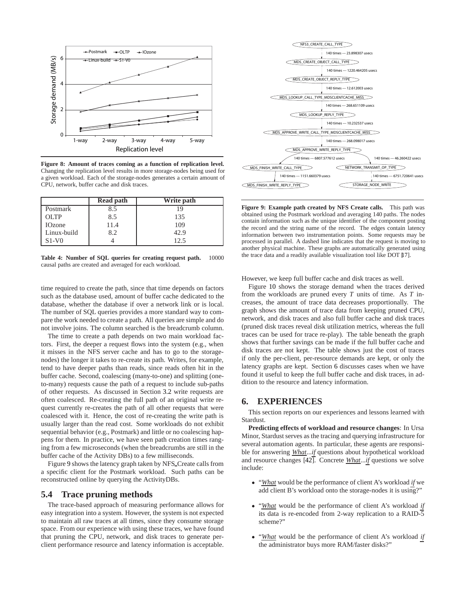

**Figure 8: Amount of traces coming as a function of replication level.** Changing the replication level results in more storage-nodes being used for a given workload. Each of the storage-nodes generates a certain amount of CPU, network, buffer cache and disk traces.

|                 | Read path | Write path |
|-----------------|-----------|------------|
| Postmark        | 8.5       |            |
| O <sub>LP</sub> | 8.5       | 135        |
| <b>IOzone</b>   | 11.4      | 109        |
| Linux-build     | 8.2       | 42.9       |
| $S1-V0$         |           | 12.5       |

**Table 4: Number of SQL queries for creating request path.** 10000 causal paths are created and averaged for each workload.

time required to create the path, since that time depends on factors such as the database used, amount of buffer cache dedicated to the database, whether the database if over a network link or is local. The number of SQL queries provides a more standard way to compare the work needed to create a path. All queries are simple and do not involve joins. The column searched is the breadcrumb column.

The time to create a path depends on two main workload factors. First, the deeper a request flows into the system (e.g., when it misses in the NFS server cache and has to go to the storagenodes) the longer it takes to re-create its path. Writes, for example, tend to have deeper paths than reads, since reads often hit in the buffer cache. Second, coalescing (many-to-one) and splitting (oneto-many) requests cause the path of a request to include sub-paths of other requests. As discussed in Section 3.2 write requests are often coalesced. Re-creating the full path of an original write request currently re-creates the path of all other requests that were coalesced with it. Hence, the cost of re-creating the write path is usually larger than the read cost. Some workloads do not exhibit sequential behavior (e.g., Postmark) and little or no coalescing happens for them. In practice, we have seen path creation times ranging from a few microseconds (when the breadcrumbs are still in the buffer cache of the Activity DBs) to a few milliseconds.

Figure 9 shows the latency graph taken by NFS Create calls from a specific client for the Postmark workload. Such paths can be reconstructed online by querying the ActivityDBs.

#### **5.4 Trace pruning methods**

The trace-based approach of measuring performance allows for easy integration into a system. However, the system is not expected to maintain all raw traces at all times, since they consume storage space. From our experience with using these traces, we have found that pruning the CPU, network, and disk traces to generate perclient performance resource and latency information is acceptable.



**Figure 9: Example path created by NFS Create calls.** This path was obtained using the Postmark workload and averaging 140 paths. The nodes contain information such as the unique identifier of the component posting the record and the string name of the record. The edges contain latency information between two instrumentation points. Some requests may be processed in parallel. A dashed line indicates that the request is moving to another physical machine. These graphs are automatically generated using the trace data and a readily available visualization tool like DOT [17].

However, we keep full buffer cache and disk traces as well.

Figure 10 shows the storage demand when the traces derived from the workloads are pruned every *T* units of time. As *T* increases, the amount of trace data decreases proportionally. The graph shows the amount of trace data from keeping pruned CPU, network, and disk traces and also full buffer cache and disk traces (pruned disk traces reveal disk utilization metrics, whereas the full traces can be used for trace re-play). The table beneath the graph shows that further savings can be made if the full buffer cache and disk traces are not kept. The table shows just the cost of traces if only the per-client, per-resource demands are kept, or only the latency graphs are kept. Section 6 discusses cases when we have found it useful to keep the full buffer cache and disk traces, in addition to the resource and latency information.

#### **6. EXPERIENCES**

This section reports on our experiences and lessons learned with Stardust.

**Predicting effects of workload and resource changes**: In Ursa Minor, Stardust serves as the tracing and querying infrastructure for several automation agents. In particular, these agents are responsible for answering *What*...*if* questions about hypothetical workload and resource changes [42]. Concrete *What*...*if* questions we solve include:

- "*What* would be the performance of client A's workload *if* we add client B's workload onto the storage-nodes it is using?"
- "*What* would be the performance of client A's workload *if* its data is re-encoded from 2-way replication to a RAID-5 scheme?"
- "*What* would be the performance of client A's workload *if* the administrator buys more RAM/faster disks?"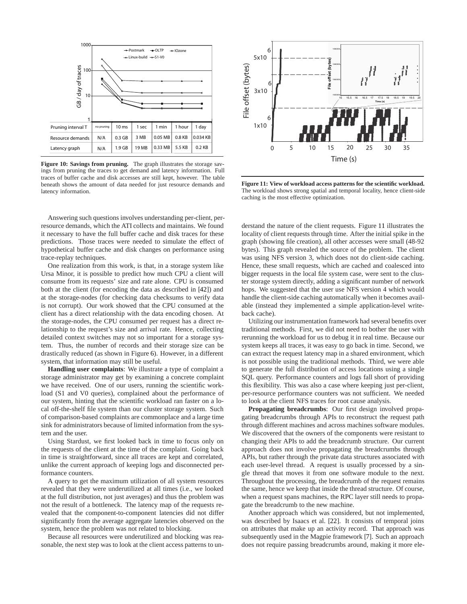

**Figure 10: Savings from pruning.** The graph illustrates the storage savings from pruning the traces to get demand and latency information. Full traces of buffer cache and disk accesses are still kept, however. The table beneath shows the amount of data needed for just resource demands and latency information.

Answering such questions involves understanding per-client, perresource demands, which the ATI collects and maintains. We found it necessary to have the full buffer cache and disk traces for these predictions. Those traces were needed to simulate the effect of hypothetical buffer cache and disk changes on performance using trace-replay techniques.

One realization from this work, is that, in a storage system like Ursa Minor, it is possible to predict how much CPU a client will consume from its requests' size and rate alone. CPU is consumed both at the client (for encoding the data as described in [42]) and at the storage-nodes (for checking data checksums to verify data is not corrupt). Our work showed that the CPU consumed at the client has a direct relationship with the data encoding chosen. At the storage-nodes, the CPU consumed per request has a direct relationship to the request's size and arrival rate. Hence, collecting detailed context switches may not so important for a storage system. Thus, the number of records and their storage size can be drastically reduced (as shown in Figure 6). However, in a different system, that information may still be useful.

**Handling user complaints**: We illustrate a type of complaint a storage administrator may get by examining a concrete complaint we have received. One of our users, running the scientific workload (S1 and V0 queries), complained about the performance of our system, hinting that the scientific workload ran faster on a local off-the-shelf file system than our cluster storage system. Such of comparison-based complaints are commonplace and a large time sink for administrators because of limited information from the system and the user.

Using Stardust, we first looked back in time to focus only on the requests of the client at the time of the complaint. Going back in time is straightforward, since all traces are kept and correlated, unlike the current approach of keeping logs and disconnected performance counters.

A query to get the maximum utilization of all system resources revealed that they were underutilized at all times (i.e., we looked at the full distribution, not just averages) and thus the problem was not the result of a bottleneck. The latency map of the requests revealed that the component-to-component latencies did not differ significantly from the average aggregate latencies observed on the system, hence the problem was not related to blocking.

Because all resources were underutilized and blocking was reasonable, the next step was to look at the client access patterns to un-



**Figure 11: View of workload access patterns for the scientific workload.** The workload shows strong spatial and temporal locality, hence client-side caching is the most effective optimization.

derstand the nature of the client requests. Figure 11 illustrates the locality of client requests through time. After the initial spike in the graph (showing file creation), all other accesses were small (48-92 bytes). This graph revealed the source of the problem. The client was using NFS version 3, which does not do client-side caching. Hence, these small requests, which are cached and coalesced into bigger requests in the local file system case, were sent to the cluster storage system directly, adding a significant number of network hops. We suggested that the user use NFS version 4 which would handle the client-side caching automatically when it becomes available (instead they implemented a simple application-level writeback cache).

Utilizing our instrumentation framework had several benefits over traditional methods. First, we did not need to bother the user with rerunning the workload for us to debug it in real time. Because our system keeps all traces, it was easy to go back in time. Second, we can extract the request latency map in a shared environment, which is not possible using the traditional methods. Third, we were able to generate the full distribution of access locations using a single SQL query. Performance counters and logs fall short of providing this flexibility. This was also a case where keeping just per-client, per-resource performance counters was not sufficient. We needed to look at the client NFS traces for root cause analysis.

**Propagating breadcrumbs**: Our first design involved propagating breadcrumbs through APIs to reconstruct the request path through different machines and across machines software modules. We discovered that the owners of the components were resistant to changing their APIs to add the breadcrumb structure. Our current approach does not involve propagating the breadcrumbs through APIs, but rather through the private data structures associated with each user-level thread. A request is usually processed by a single thread that moves it from one software module to the next. Throughout the processing, the breadcrumb of the request remains the same, hence we keep that inside the thread structure. Of course, when a request spans machines, the RPC layer still needs to propagate the breadcrumb to the new machine.

Another approach which was considered, but not implemented, was described by Isaacs et al. [22]. It consists of temporal joins on attributes that make up an activity record. That approach was subsequently used in the Magpie framework [7]. Such an approach does not require passing breadcrumbs around, making it more ele-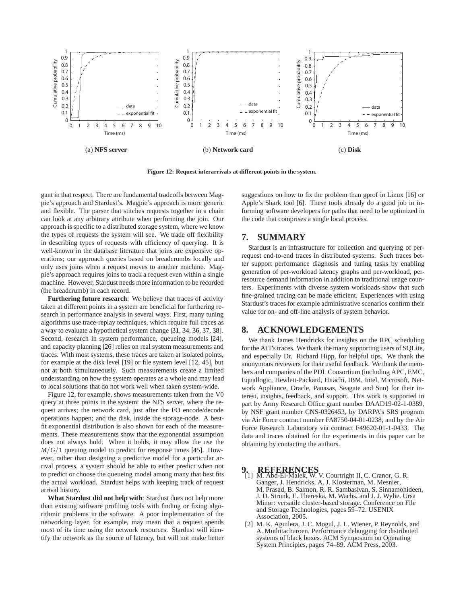

**Figure 12: Request interarrivals at different points in the system.**

gant in that respect. There are fundamental tradeoffs between Magpie's approach and Stardust's. Magpie's approach is more generic and flexible. The parser that stitches requests together in a chain can look at any arbitrary attribute when performing the join. Our approach is specific to a distributed storage system, where we know the types of requests the system will see. We trade off flexibility in describing types of requests with efficiency of querying. It is well-known in the database literature that joins are expensive operations; our approach queries based on breadcrumbs locally and only uses joins when a request moves to another machine. Magpie's approach requires joins to track a request even within a single machine. However, Stardust needs more information to be recorded (the breadcrumb) in each record.

**Furthering future research**: We believe that traces of activity taken at different points in a system are beneficial for furthering research in performance analysis in several ways. First, many tuning algorithms use trace-replay techniques, which require full traces as a way to evaluate a hypothetical system change [31, 34, 36, 37, 38]. Second, research in system performance, queueing models [24], and capacity planning [26] relies on real system measurements and traces. With most systems, these traces are taken at isolated points, for example at the disk level [19] or file system level [12, 45], but not at both simultaneously. Such measurements create a limited understanding on how the system operates as a whole and may lead to local solutions that do not work well when taken system-wide.

Figure 12, for example, shows measurements taken from the V0 query at three points in the system: the NFS server, where the request arrives; the network card, just after the I/O encode/decode operations happen; and the disk, inside the storage-node. A bestfit exponential distribution is also shown for each of the measurements. These measurements show that the exponential assumption does not always hold. When it holds, it may allow the use the  $M/G/1$  queuing model to predict for response times [45]. However, rather than designing a predictive model for a particular arrival process, a system should be able to either predict when not to predict or choose the queueing model among many that best fits the actual workload. Stardust helps with keeping track of request arrival history.

**What Stardust did not help with**: Stardust does not help more than existing software profiling tools with finding or fixing algorithmic problems in the software. A poor implementation of the networking layer, for example, may mean that a request spends most of its time using the network resources. Stardust will identify the network as the source of latency, but will not make better suggestions on how to fix the problem than gprof in Linux [16] or Apple's Shark tool [6]. These tools already do a good job in informing software developers for paths that need to be optimized in the code that comprises a single local process.

#### **7. SUMMARY**

Stardust is an infrastructure for collection and querying of perrequest end-to-end traces in distributed systems. Such traces better support performance diagnosis and tuning tasks by enabling generation of per-workload latency graphs and per-workload, perresource demand information in addition to traditional usage counters. Experiments with diverse system workloads show that such fine-grained tracing can be made efficient. Experiences with using Stardust's traces for example administrative scenarios confirm their value for on- and off-line analysis of system behavior.

#### **8. ACKNOWLEDGEMENTS**

We thank James Hendricks for insights on the RPC scheduling for the ATI's traces. We thank the many supporting users of SQLite, and especially Dr. Richard Hipp, for helpful tips. We thank the anonymous reviewers for their useful feedback. We thank the members and companies of the PDL Consortium (including APC, EMC, Equallogic, Hewlett-Packard, Hitachi, IBM, Intel, Microsoft, Network Appliance, Oracle, Panasas, Seagate and Sun) for their interest, insights, feedback, and support. This work is supported in part by Army Research Office grant number DAAD19-02-1-0389, by NSF grant number CNS-0326453, by DARPA's SRS program via Air Force contract number FA8750-04-01-0238, and by the Air Force Research Laboratory via contract F49620-01-1-0433. The data and traces obtained for the experiments in this paper can be obtaining by contacting the authors.

- **9. REFERENCES** [1] M. Abd-El-Malek, W. V. Courtright II, C. Cranor, G. R. Ganger, J. Hendricks, A. J. Klosterman, M. Mesnier, M. Prasad, B. Salmon, R. R. Sambasivan, S. Sinnamohideen, J. D. Strunk, E. Thereska, M. Wachs, and J. J. Wylie. Ursa Minor: versatile cluster-based storage. Conference on File and Storage Technologies, pages 59–72. USENIX Association, 2005.
- [2] M. K. Aguilera, J. C. Mogul, J. L. Wiener, P. Reynolds, and A. Muthitacharoen. Performance debugging for distributed systems of black boxes. ACM Symposium on Operating System Principles, pages 74–89. ACM Press, 2003.